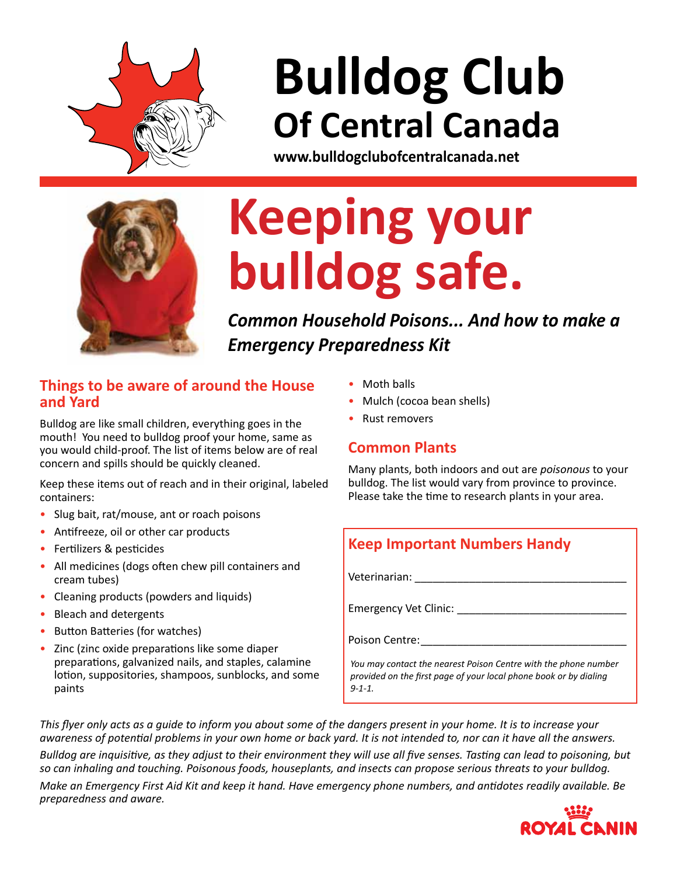

# **Bulldog Club Of Central Canada**

**www.bulldogclubofcentralcanada.net**



# **Keeping your bulldog safe.**

*Common Household Poisons... And how to make a Emergency Preparedness Kit*

#### **Things to be aware of around the House and Yard**

Bulldog are like small children, everything goes in the mouth! You need to bulldog proof your home, same as you would child-proof. The list of items below are of real concern and spills should be quickly cleaned.

Keep these items out of reach and in their original, labeled containers:

- Slug bait, rat/mouse, ant or roach poisons
- • Antifreeze, oil or other car products
- • Fertilizers & pesticides
- All medicines (dogs often chew pill containers and cream tubes)
- Cleaning products (powders and liquids)
- • Bleach and detergents
- Button Batteries (for watches)
- Zinc (zinc oxide preparations like some diaper preparations, galvanized nails, and staples, calamine lotion, suppositories, shampoos, sunblocks, and some paints
- **Moth balls**
- Mulch (cocoa bean shells)
- **Rust removers**

## **Common Plants**

Many plants, both indoors and out are *poisonous* to your bulldog. The list would vary from province to province. Please take the time to research plants in your area.

## **Keep Important Numbers Handy**

Veterinarian: \_\_\_\_\_\_\_\_\_\_\_\_\_\_\_\_\_\_\_\_\_\_\_\_\_\_\_\_\_\_\_\_\_\_\_

Emergency Vet Clinic:

Poison Centre:

*You may contact the nearest Poison Centre with the phone number provided on the first page of your local phone book or by dialing 9-1-1.*

*This flyer only acts as a guide to inform you about some of the dangers present in your home. It is to increase your awareness of potential problems in your own home or back yard. It is not intended to, nor can it have all the answers.* 

*Bulldog are inquisitive, as they adjust to their environment they will use all five senses. Tasting can lead to poisoning, but so can inhaling and touching. Poisonous foods, houseplants, and insects can propose serious threats to your bulldog.*

*Make an Emergency First Aid Kit and keep it hand. Have emergency phone numbers, and antidotes readily available. Be preparedness and aware.*